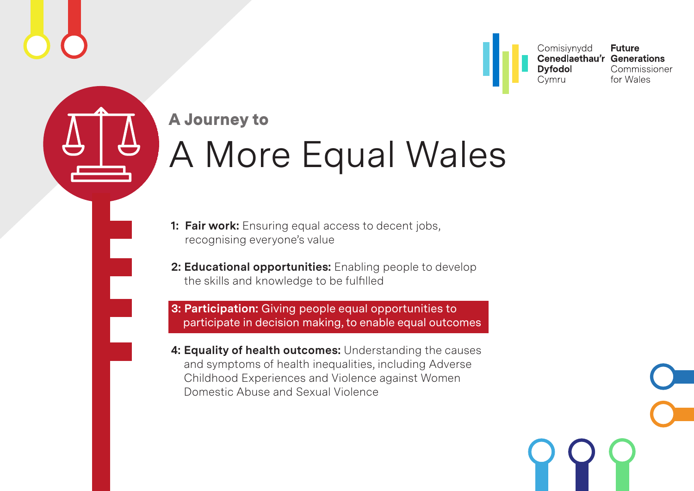<span id="page-0-0"></span>



- **1: Fair work:** Ensuring equal access to decent jobs, recognising everyone's value
- **2: Educational opportunities:** Enabling people to develop the skills and knowledge to be fulfilled

 **3: Participation:** Giving people equal opportunities to participate in decision making, to enable equal outcomes

 **4: Equality of health outcomes:** Understanding the causes and symptoms of health inequalities, including Adverse Childhood Experiences and Violence against Women Domestic Abuse and Sexual Violence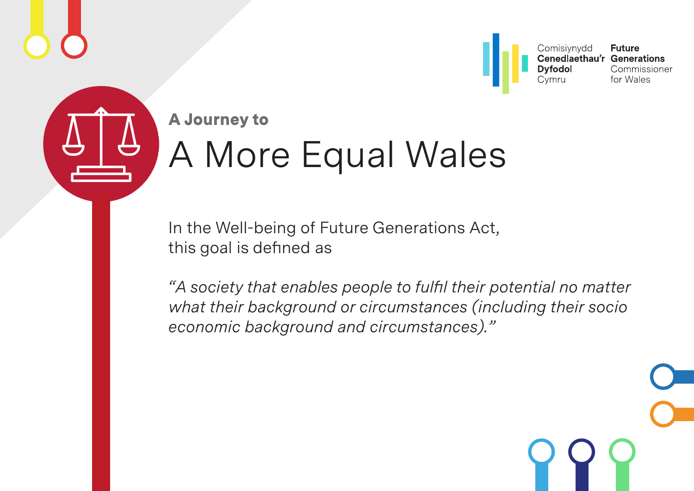



In the Well-being of Future Generations Act, this goal is defined as

*"A society that enables people to fulfil their potential no matter what their background or circumstances (including their socio economic background and circumstances)."*

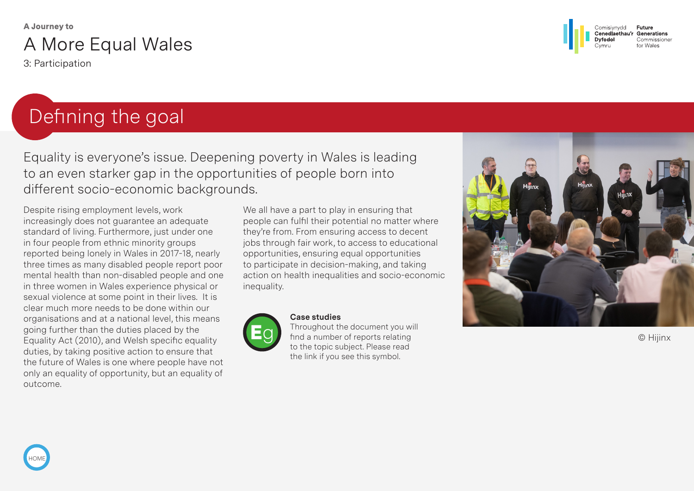3: Participation

## Defining the goal

Equality is everyone's issue. Deepening poverty in Wales is leading to an even starker gap in the opportunities of people born into different socio-economic backgrounds.

Despite rising employment levels, work increasingly does not guarantee an adequate standard of living. Furthermore, just under one in four people from ethnic minority groups reported being lonely in Wales in 2017-18, nearly three times as many disabled people report poor mental health than non-disabled people and one in three women in Wales experience physical or sexual violence at some point in their lives. It is clear much more needs to be done within our organisations and at a national level, this means going further than the duties placed by the Equality Act (2010), and Welsh specific equality duties, by taking positive action to ensure that the future of Wales is one where people have not only an equality of opportunity, but an equality of outcome.

We all have a part to play in ensuring that people can fulfil their potential no matter where they're from. From ensuring access to decent jobs through fair work, to access to educational opportunities, ensuring equal opportunities to participate in decision-making, and taking action on health inequalities and socio-economic inequality.



#### **Case studies**

Throughout the document you will find a number of reports relating to the topic subject. Please read the link if you see this symbol.



© Hijinx

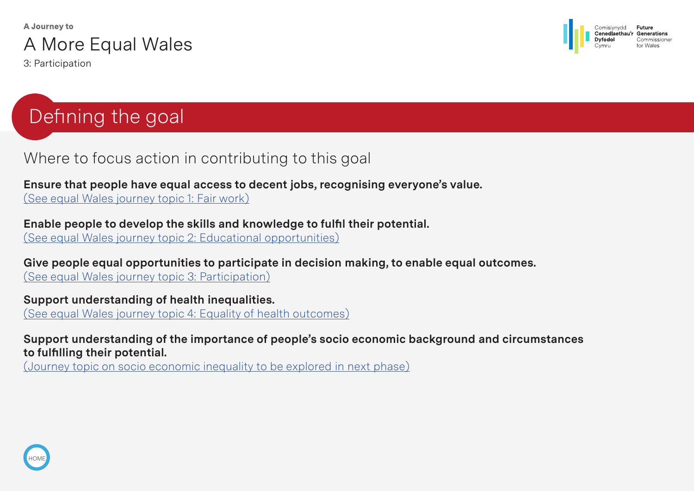

3: Participation



## Defining the goal

#### Where to focus action in contributing to this goal

**Ensure that people have equal access to decent jobs, recognising everyone's value.** (See equal Wales journey topic 1: Fair work)

**Enable people to develop the skills and knowledge to fulfil their potential.**  (See equal Wales journey topic 2: Educational opportunities)

**Give people equal opportunities to participate in decision making, to enable equal outcomes.** (See equal Wales journey topic 3: Participation)

**Support understanding of health inequalities.** (See equal Wales journey topic 4: Equality of health outcomes)

**Support understanding of the importance of people's socio economic background and circumstances to fulfilling their potential.**

(Journey topic on socio economic inequality to be explored in next phase)

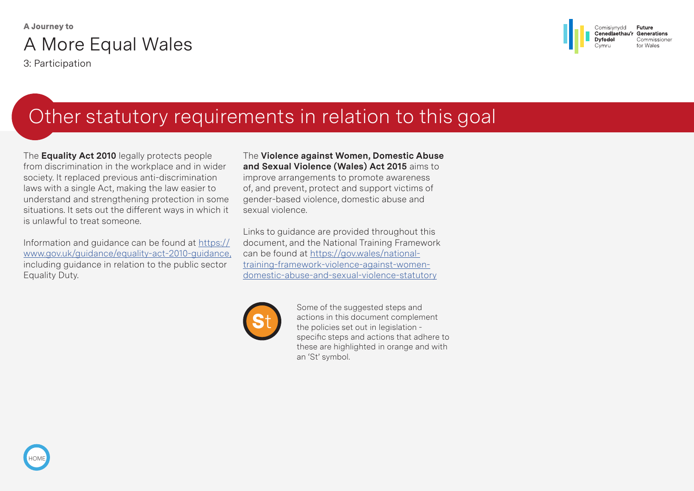3: Participation

[HOME](#page-0-0)



## Other statutory requirements in relation to this goal

The **Equality Act 2010** legally protects people from discrimination in the workplace and in wider society. It replaced previous anti-discrimination laws with a single Act, making the law easier to understand and strengthening protection in some situations. It sets out the different ways in which it is unlawful to treat someone.

Information and guidance can be found at [https://](https://www.gov.uk/guidance/equality-act-2010-guidance) [www.gov.uk/guidance/equality-act-2010-guidance,](https://www.gov.uk/guidance/equality-act-2010-guidance)  including guidance in relation to the public sector Equality Duty.

The **Violence against Women, Domestic Abuse and Sexual Violence (Wales) Act 2015** aims to improve arrangements to promote awareness of, and prevent, protect and support victims of gender-based violence, domestic abuse and sexual violence.

Links to guidance are provided throughout this document, and the National Training Framework can be found at [https://gov.wales/national](https://gov.wales/national-training-framework-violence-against-women-domestic-abuse-and-sexual-violence-statutory)[training-framework-violence-against-women](https://gov.wales/national-training-framework-violence-against-women-domestic-abuse-and-sexual-violence-statutory)[domestic-abuse-and-sexual-violence-statutory](https://gov.wales/national-training-framework-violence-against-women-domestic-abuse-and-sexual-violence-statutory)



Some of the suggested steps and actions in this document complement the policies set out in legislation specific steps and actions that adhere to these are highlighted in orange and with an 'St' symbol.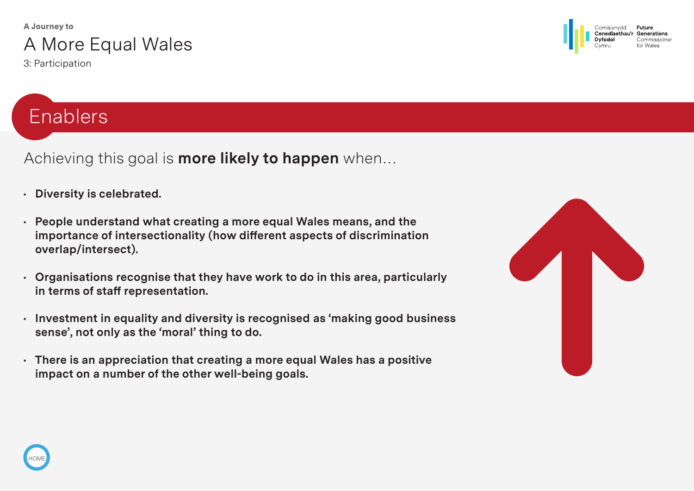3: Participation

## Enablers

Achieving this goal is **more likely to happen** when…

- **Diversity is celebrated.**
- **People understand what creating a more equal Wales means, and the importance of intersectionality (how different aspects of discrimination overlap/intersect).**
- **Organisations recognise that they have work to do in this area, particularly in terms of staff representation.**
- **Investment in equality and diversity is recognised as 'making good business sense', not only as the 'moral' thing to do.**
- **There is an appreciation that creating a more equal Wales has a positive impact on a number of the other well-being goals.**



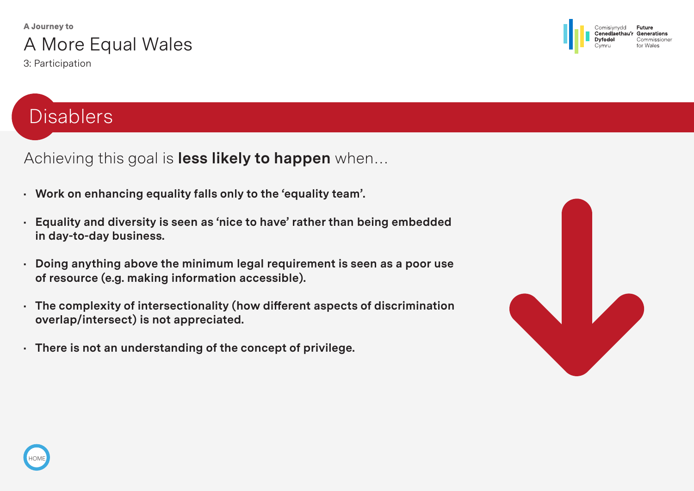

3: Participation

#### Future Comisivnydd Generations Cenedlaethau Commissione

## **Disablers**

Achieving this goal is **less likely to happen** when…

- **Work on enhancing equality falls only to the 'equality team'.**
- **Equality and diversity is seen as 'nice to have' rather than being embedded in day-to-day business.**
- **Doing anything above the minimum legal requirement is seen as a poor use of resource (e.g. making information accessible).**
- **The complexity of intersectionality (how different aspects of discrimination overlap/intersect) is not appreciated.**
- **• There is not an understanding of the concept of privilege.**



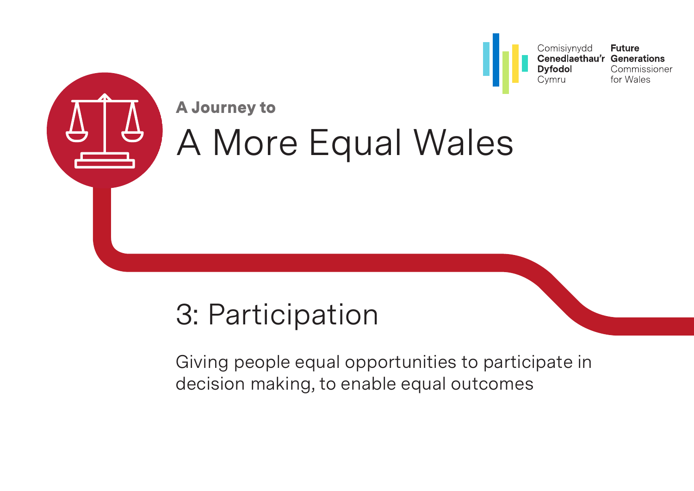

# 3: Participation

Giving people equal opportunities to participate in decision making, to enable equal outcomes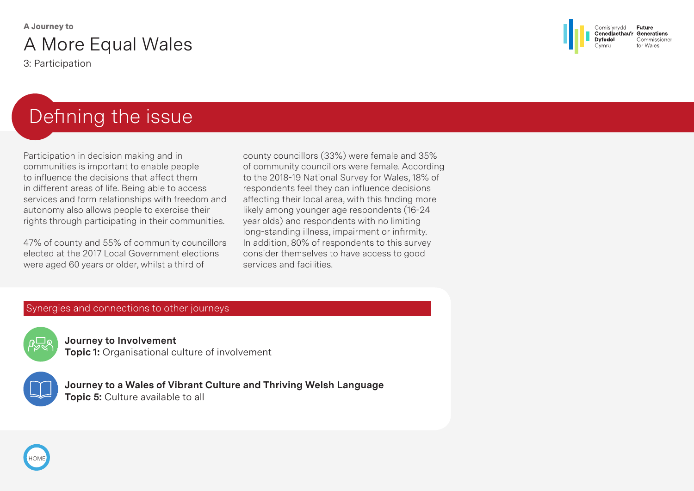3: Participation



## Defining the issue

Participation in decision making and in communities is important to enable people to influence the decisions that affect them in different areas of life. Being able to access services and form relationships with freedom and autonomy also allows people to exercise their rights through participating in their communities.

47% of county and 55% of community councillors elected at the 2017 Local Government elections were aged 60 years or older, whilst a third of

county councillors (33%) were female and 35% of community councillors were female. According to the 2018-19 National Survey for Wales, 18% of respondents feel they can influence decisions affecting their local area, with this finding more likely among younger age respondents (16-24 year olds) and respondents with no limiting long-standing illness, impairment or infirmity. In addition, 80% of respondents to this survey consider themselves to have access to good services and facilities.

#### Synergies and connections to other journeys



**Journey to Involvement Topic 1:** Organisational culture of involvement



**Journey to a Wales of Vibrant Culture and Thriving Welsh Language Topic 5: Culture available to all** 

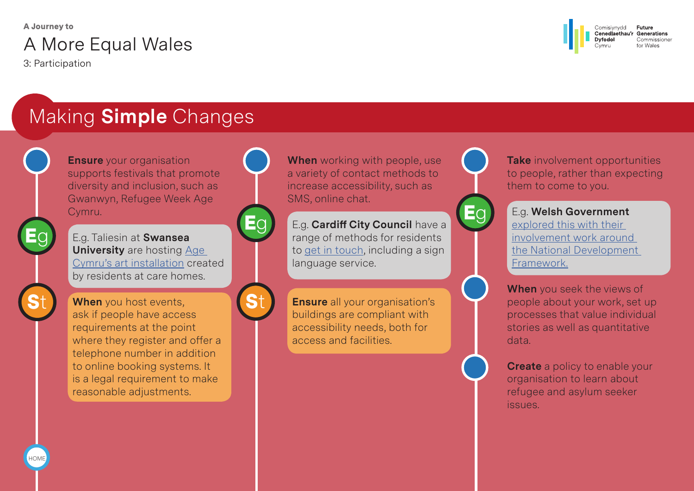3: Participation

[HOME](#page-0-0)



## Making **Simple** Changes

**Ensure** vour organisation supports festivals that promote diversity and inclusion, such as Gwanwyn, Refugee Week Age Cymru.

<sup>E</sup><sup>g</sup> <sup>E</sup><sup>g</sup> E.g. Taliesin at **Swansea University** are hosting [Age](https://www.ageuk.org.uk/globalassets/age-cymru/documents/cartrefu/age-cymru-english---evaluation-report.pdf)  [Cymru's art installation](https://www.ageuk.org.uk/globalassets/age-cymru/documents/cartrefu/age-cymru-english---evaluation-report.pdf) created by residents at care homes.

St When you host events,<br>ask if people have access ask if people have access requirements at the point where they register and offer a telephone number in addition to online booking systems. It is a legal requirement to make reasonable adjustments.





**When** working with people, use a variety of contact methods to increase accessibility, such as SMS, online chat.

E.g. **Cardiff City Council** have a range of methods for residents to [get in touch,](https://www.cardiff.gov.uk/ENG/Home/Contact-us/General-enquiries/Pages/default.aspx) including a sign language service.

**Ensure** all your organisation's buildings are compliant with accessibility needs, both for access and facilities.



**Take** involvement opportunities to people, rather than expecting them to come to you.



E.g. **Welsh Government** 

[explored this with their](https://futuregenerationswales.sharepoint.com/sites/artofthepossible/Shared%20Documents/AOTP%20-%20Next%20Phase/Journey%20Checkers/Final%20drafting/Final%20word%20versions%20to%20send%20to%20translation%20and%20design/futuregenerations.wales/wp-content/uploads/2019/04/2019-04-10-Engagment-on-the-National-Development-Framework-.pdf)  [involvement work around](https://futuregenerationswales.sharepoint.com/sites/artofthepossible/Shared%20Documents/AOTP%20-%20Next%20Phase/Journey%20Checkers/Final%20drafting/Final%20word%20versions%20to%20send%20to%20translation%20and%20design/futuregenerations.wales/wp-content/uploads/2019/04/2019-04-10-Engagment-on-the-National-Development-Framework-.pdf)  [the National Development](https://futuregenerationswales.sharepoint.com/sites/artofthepossible/Shared%20Documents/AOTP%20-%20Next%20Phase/Journey%20Checkers/Final%20drafting/Final%20word%20versions%20to%20send%20to%20translation%20and%20design/futuregenerations.wales/wp-content/uploads/2019/04/2019-04-10-Engagment-on-the-National-Development-Framework-.pdf)  [Framework.](https://futuregenerationswales.sharepoint.com/sites/artofthepossible/Shared%20Documents/AOTP%20-%20Next%20Phase/Journey%20Checkers/Final%20drafting/Final%20word%20versions%20to%20send%20to%20translation%20and%20design/futuregenerations.wales/wp-content/uploads/2019/04/2019-04-10-Engagment-on-the-National-Development-Framework-.pdf)



**When** you seek the views of people about your work, set up processes that value individual stories as well as quantitative data.

**Create** a policy to enable your organisation to learn about refugee and asylum seeker issues.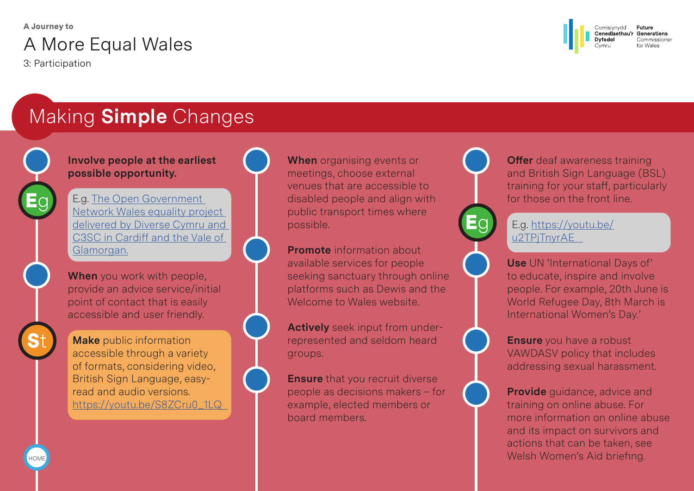3: Participation

[HOME](#page-0-0)

**St** 

Eg



## Making **Simple** Changes

**Involve people at the earliest possible opportunity.** 

E.g. [The Open Government](https://www.diversecymru.org.uk/wp-content/uploads/Your-Wellbeing-Your-Government-project-Initial-barriers-and-solutions-report-final.pdf)  [Network Wales equality project](https://www.diversecymru.org.uk/wp-content/uploads/Your-Wellbeing-Your-Government-project-Initial-barriers-and-solutions-report-final.pdf)  [delivered by Diverse Cymru and](https://www.diversecymru.org.uk/wp-content/uploads/Your-Wellbeing-Your-Government-project-Initial-barriers-and-solutions-report-final.pdf)  [C3SC in Cardiff and the Vale of](https://www.diversecymru.org.uk/wp-content/uploads/Your-Wellbeing-Your-Government-project-Initial-barriers-and-solutions-report-final.pdf)  [Glamorgan.](https://www.diversecymru.org.uk/wp-content/uploads/Your-Wellbeing-Your-Government-project-Initial-barriers-and-solutions-report-final.pdf)

**When** you work with people, provide an advice service/initial point of contact that is easily accessible and user friendly.

**Make** public information accessible through a variety of formats, considering video, British Sign Language, easyread and audio versions. [https://youtu.be/S8ZCru0\\_1LQ](https://youtu.be/S8ZCru0_1LQ)  **When** organising events or meetings, choose external venues that are accessible to disabled people and align with public transport times where possible.

**Promote** information about available services for people seeking sanctuary through online platforms such as Dewis and the Welcome to Wales website.

**Actively** seek input from underrepresented and seldom heard groups.

**Ensure** that you recruit diverse people as decisions makers – for example, elected members or board members.



**Offer** deaf awareness training and British Sign Language (BSL) training for your staff, particularly for those on the front line.

#### E.g. [https://youtu.be/](https://youtu.be/u2TPjTnyrAE) u2TPiTnyrAE

**Use** UN 'International Days of' to educate, inspire and involve people. For example, 20th June is World Refugee Day, 8th March is International Women's Day.'

**Ensure** you have a robust VAWDASV policy that includes addressing sexual harassment.

**Provide** guidance, advice and training on online abuse. For more information on online abuse and its impact on survivors and actions that can be taken, see Welsh Women's Aid briefing.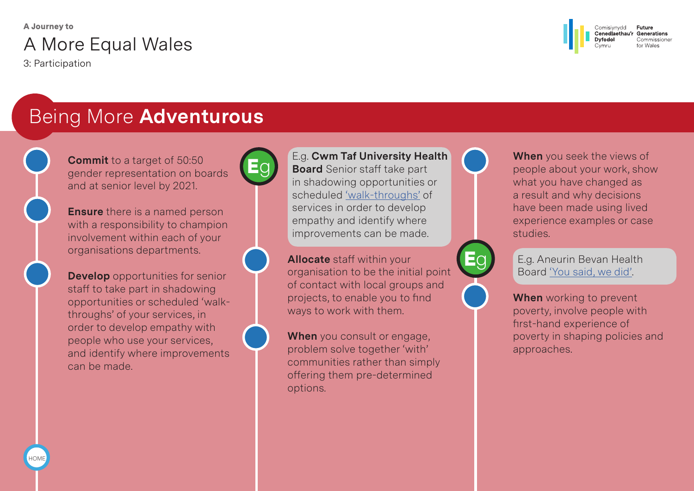3: Participation



## Being More **Adventurous**

**Commit** to a target of 50:50 gender representation on boards and at senior level by 2021.

**Ensure** there is a named person with a responsibility to champion involvement within each of your organisations departments.

**Develop** opportunities for senior staff to take part in shadowing opportunities or scheduled 'walkthroughs' of your services, in order to develop empathy with people who use your services, and identify where improvements can be made.



#### E.g. **Cwm Taf University Health Board** Senior staff take part in shadowing opportunities or scheduled ['walk-throughs'](http://cwmtaf.wales/cwm-taf-directors-go-back-frontline/) of services in order to develop empathy and identify where improvements can be made.

**Allocate** staff within your organisation to be the initial point of contact with local groups and projects, to enable you to find ways to work with them.

**When** you consult or engage, problem solve together 'with' communities rather than simply offering them pre-determined options.



**When** you seek the views of people about your work, show what you have changed as a result and why decisions have been made using lived experience examples or case studies.



E.g. Aneurin Bevan Health Board ['You said, we did'](http://www.wales.nhs.uk/sitesplus/documents/866/You%20Said%20We%20Did%20Newsletter%20Issue%201.pdf).

**When** working to prevent poverty, involve people with first-hand experience of poverty in shaping policies and approaches.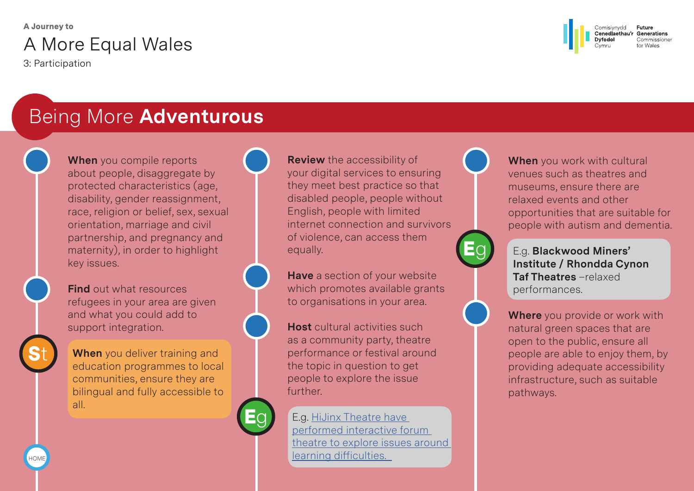3: Participation

[HOME](#page-0-0)

**St** 



### Being More **Adventurous**

**When** you compile reports about people, disaggregate by protected characteristics (age, disability, gender reassignment, race, religion or belief, sex, sexual orientation, marriage and civil partnership, and pregnancy and maternity), in order to highlight key issues.

**Find** out what resources refugees in your area are given and what you could add to support integration.

**When** you deliver training and education programmes to local communities, ensure they are bilingual and fully accessible to all.

Eg

**Review** the accessibility of your digital services to ensuring they meet best practice so that disabled people, people without English, people with limited internet connection and survivors of violence, can access them equally.

**Have** a section of your website which promotes available grants to organisations in your area.

**Host** cultural activities such as a community party, theatre performance or festival around the topic in question to get people to explore the issue further.

E.g. [HiJinx Theatre have](https://www.youtube.com/watch?v=YqgqchfujFk&feature=youtu.be)  [performed interactive forum](https://www.youtube.com/watch?v=YqgqchfujFk&feature=youtu.be)  [theatre to explore issues around](https://www.youtube.com/watch?v=YqgqchfujFk&feature=youtu.be)  [learning difficulties.](https://www.youtube.com/watch?v=YqgqchfujFk&feature=youtu.be) 



Eg

**When** you work with cultural venues such as theatres and museums, ensure there are relaxed events and other opportunities that are suitable for people with autism and dementia.

E.g. **Blackwood Miners' Institute / Rhondda Cynon Taf Theatres** –relaxed performances.

**Where** you provide or work with natural green spaces that are open to the public, ensure all people are able to enjoy them, by providing adequate accessibility infrastructure, such as suitable pathways.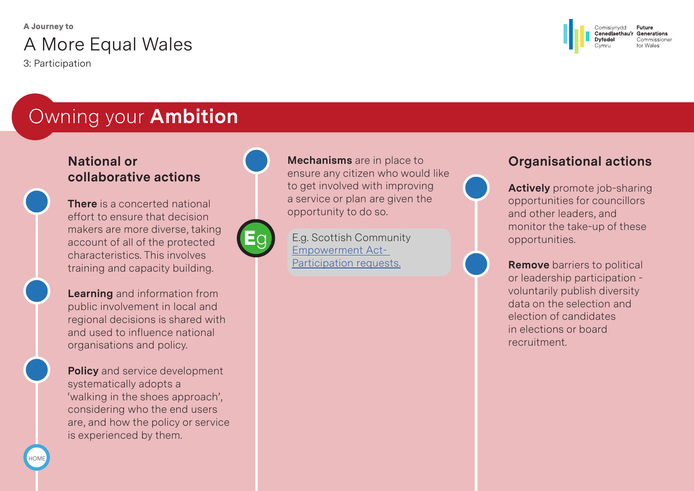3: Participation

[HOME](#page-0-0)



## Owning your **Ambition**

#### **National or collaborative actions**

**There** is a concerted national effort to ensure that decision makers are more diverse, taking account of all of the protected characteristics. This involves training and capacity building.

**Learning** and information from public involvement in local and regional decisions is shared with and used to influence national organisations and policy.

**Policy** and service development systematically adopts a 'walking in the shoes approach', considering who the end users are, and how the policy or service is experienced by them.





**Mechanisms** are in place to ensure any citizen who would like to get involved with improving a service or plan are given the opportunity to do so.

E.g. Scottish Community [Empowerment Act-](https://www.glasgow.gov.uk/index.aspx?articleid=21071)[Participation requests.](https://www.glasgow.gov.uk/index.aspx?articleid=21071)

#### **Organisational actions**



**Remove** barriers to political or leadership participation voluntarily publish diversity data on the selection and election of candidates in elections or board recruitment.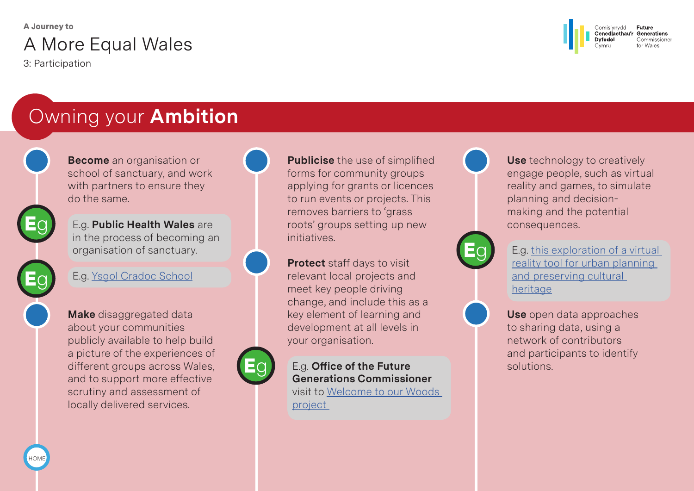3: Participation



## Owning your **Ambition**

**Become** an organisation or school of sanctuary, and work with partners to ensure they do the same.

E.g. **Public Health Wales** are in the process of becoming an organisation of sanctuary.

E.g. [Ysgol Cradoc School](http://www.cradoc.powys.sch.uk/?page_id=1292&lang=cy)

**Make** disaggregated data about your communities publicly available to help build a picture of the experiences of different groups across Wales, and to support more effective scrutiny and assessment of locally delivered services.



**Publicise** the use of simplified forms for community groups applying for grants or licences to run events or projects. This removes barriers to 'grass roots' groups setting up new initiatives.

**Protect** staff days to visit relevant local projects and meet key people driving change, and include this as a key element of learning and development at all levels in your organisation.

# Eg

E.g. **Office of the Future Generations Commissioner**  visit to [Welcome to our Woods](https://youtu.be/slLVX8737sU)  [project](https://youtu.be/slLVX8737sU) 



**Use** technology to creatively engage people, such as virtual reality and games, to simulate planning and decisionmaking and the potential consequences.



E.g. [this exploration of a virtual](https://www.youtube.com/watch?v=sI3BQ93OrFc)  [reality tool for urban planning](https://www.youtube.com/watch?v=sI3BQ93OrFc)  [and preserving cultural](https://www.youtube.com/watch?v=sI3BQ93OrFc)  [heritage](https://www.youtube.com/watch?v=sI3BQ93OrFc)

**Use** open data approaches to sharing data, using a network of contributors and participants to identify solutions.

[HOME](#page-0-0)

Eg

Eg